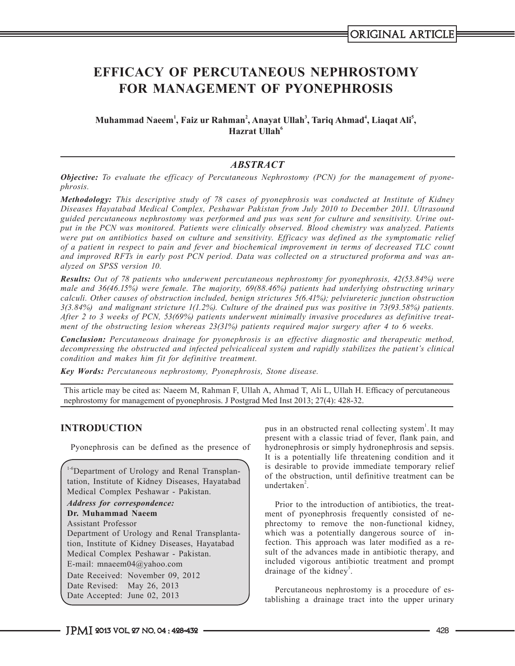# **EFFICACY OF PERCUTANEOUS NEPHROSTOMY FOR MANAGEMENT OF PYONEPHROSIS**

**Muhammad Naeem<sup>1</sup> , Faiz ur Rahman<sup>2</sup> , Anayat Ullah3 , Tariq Ahmad<sup>4</sup> , Liaqat Ali5 , Hazrat Ullah<sup>6</sup>** 

## *ABSTRACT*

*Objective: To evaluate the efficacy of Percutaneous Nephrostomy (PCN) for the management of pyonephrosis.*

*Methodology: This descriptive study of 78 cases of pyonephrosis was conducted at Institute of Kidney Diseases Hayatabad Medical Complex, Peshawar Pakistan from July 2010 to December 2011. Ultrasound guided percutaneous nephrostomy was performed and pus was sent for culture and sensitivity. Urine output in the PCN was monitored. Patients were clinically observed. Blood chemistry was analyzed. Patients were put on antibiotics based on culture and sensitivity. Efficacy was defined as the symptomatic relief of a patient in respect to pain and fever and biochemical improvement in terms of decreased TLC count and improved RFTs in early post PCN period. Data was collected on a structured proforma and was analyzed on SPSS version 10.*

*Results: Out of 78 patients who underwent percutaneous nephrostomy for pyonephrosis, 42(53.84%) were male and 36(46.15%) were female. The majority, 69(88.46%) patients had underlying obstructing urinary calculi. Other causes of obstruction included, benign strictures 5(6.41%); pelviureteric junction obstruction 3(3.84%) and malignant stricture 1(1.2%). Culture of the drained pus was positive in 73(93.58%) patients. After 2 to 3 weeks of PCN, 53(69%) patients underwent minimally invasive procedures as definitive treatment of the obstructing lesion whereas 23(31%) patients required major surgery after 4 to 6 weeks.*

*Conclusion: Percutaneous drainage for pyonephrosis is an effective diagnostic and therapeutic method, decompressing the obstructed and infected pelvicaliceal system and rapidly stabilizes the patient's clinical condition and makes him fit for definitive treatment.*

*Key Words: Percutaneous nephrostomy, Pyonephrosis, Stone disease.*

This article may be cited as: Naeem M, Rahman F, Ullah A, Ahmad T, Ali L, Ullah H. Efficacy of percutaneous nephrostomy for management of pyonephrosis. J Postgrad Med Inst 2013; 27(4): 428-32.

#### **INTRODUCTION**

Pyonephrosis can be defined as the presence of

<sup>1-6</sup>Department of Urology and Renal Transplantation, Institute of Kidney Diseases, Hayatabad Medical Complex Peshawar - Pakistan. *Address for correspondence:* **Dr. Muhammad Naeem** Assistant Professor Department of Urology and Renal Transplantation, Institute of Kidney Diseases, Hayatabad Medical Complex Peshawar - Pakistan. E-mail: mnaeem04@yahoo.com Date Received: November 09, 2012 Date Revised: May 26, 2013 Date Accepted: June 02, 2013

pus in an obstructed renal collecting system<sup>1</sup>. It may present with a classic triad of fever, flank pain, and hydronephrosis or simply hydronephrosis and sepsis. It is a potentially life threatening condition and it is desirable to provide immediate temporary relief of the obstruction, until definitive treatment can be undertaken<sup>2</sup>.

Prior to the introduction of antibiotics, the treatment of pyonephrosis frequently consisted of nephrectomy to remove the non-functional kidney, which was a potentially dangerous source of infection. This approach was later modified as a result of the advances made in antibiotic therapy, and included vigorous antibiotic treatment and prompt drainage of the kidney<sup>3</sup>.

Percutaneous nephrostomy is a procedure of establishing a drainage tract into the upper urinary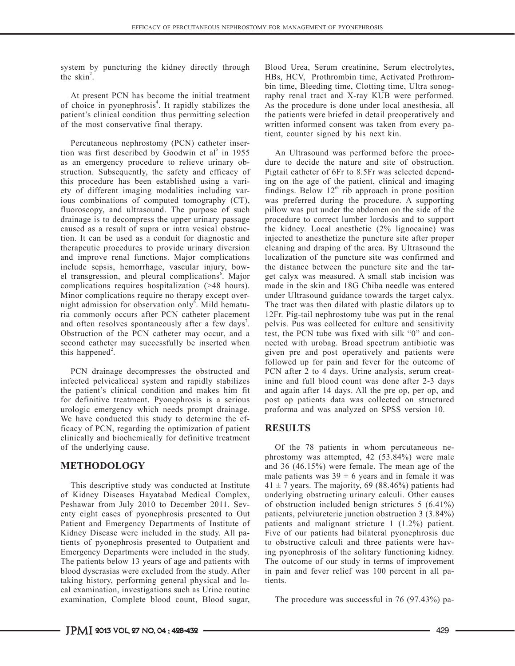system by puncturing the kidney directly through the skin<sup>2</sup>.

At present PCN has become the initial treatment of choice in pyonephrosis<sup>4</sup>. It rapidly stabilizes the patient's clinical condition thus permitting selection of the most conservative final therapy.

Percutaneous nephrostomy (PCN) catheter insertion was first described by Goodwin et al<sup>5</sup> in 1955 as an emergency procedure to relieve urinary obstruction. Subsequently, the safety and efficacy of this procedure has been established using a variety of different imaging modalities including various combinations of computed tomography (CT), fluoroscopy, and ultrasound. The purpose of such drainage is to decompress the upper urinary passage caused as a result of supra or intra vesical obstruction. It can be used as a conduit for diagnostic and therapeutic procedures to provide urinary diversion and improve renal functions. Major complications include sepsis, hemorrhage, vascular injury, bowel transgression, and pleural complications<sup>6</sup>. Major complications requires hospitalization (>48 hours). Minor complications require no therapy except overnight admission for observation only<sup>6</sup>. Mild hematuria commonly occurs after PCN catheter placement and often resolves spontaneously after a few days<sup>7</sup>. Obstruction of the PCN catheter may occur, and a second catheter may successfully be inserted when this happened<sup>2</sup>.

PCN drainage decompresses the obstructed and infected pelvicaliceal system and rapidly stabilizes the patient's clinical condition and makes him fit for definitive treatment. Pyonephrosis is a serious urologic emergency which needs prompt drainage. We have conducted this study to determine the efficacy of PCN, regarding the optimization of patient clinically and biochemically for definitive treatment of the underlying cause.

## **METHODOLOGY**

This descriptive study was conducted at Institute of Kidney Diseases Hayatabad Medical Complex, Peshawar from July 2010 to December 2011. Seventy eight cases of pyonephrosis presented to Out Patient and Emergency Departments of Institute of Kidney Disease were included in the study. All patients of pyonephrosis presented to Outpatient and Emergency Departments were included in the study. The patients below 13 years of age and patients with blood dyscrasias were excluded from the study. After taking history, performing general physical and local examination, investigations such as Urine routine examination, Complete blood count, Blood sugar,

Blood Urea, Serum creatinine, Serum electrolytes, HBs, HCV, Prothrombin time, Activated Prothrombin time, Bleeding time, Clotting time, Ultra sonography renal tract and X-ray KUB were performed. As the procedure is done under local anesthesia, all the patients were briefed in detail preoperatively and written informed consent was taken from every patient, counter signed by his next kin.

An Ultrasound was performed before the procedure to decide the nature and site of obstruction. Pigtail catheter of 6Fr to 8.5Fr was selected depending on the age of the patient, clinical and imaging findings. Below  $12<sup>th</sup>$  rib approach in prone position was preferred during the procedure. A supporting pillow was put under the abdomen on the side of the procedure to correct lumber lordosis and to support the kidney. Local anesthetic (2% lignocaine) was injected to anesthetize the puncture site after proper cleaning and draping of the area. By Ultrasound the localization of the puncture site was confirmed and the distance between the puncture site and the target calyx was measured. A small stab incision was made in the skin and 18G Chiba needle was entered under Ultrasound guidance towards the target calyx. The tract was then dilated with plastic dilators up to 12Fr. Pig-tail nephrostomy tube was put in the renal pelvis. Pus was collected for culture and sensitivity test, the PCN tube was fixed with silk "0" and connected with urobag. Broad spectrum antibiotic was given pre and post operatively and patients were followed up for pain and fever for the outcome of PCN after 2 to 4 days. Urine analysis, serum creatinine and full blood count was done after 2-3 days and again after 14 days. All the pre op, per op, and post op patients data was collected on structured proforma and was analyzed on SPSS version 10.

## **RESULTS**

Of the 78 patients in whom percutaneous nephrostomy was attempted, 42 (53.84%) were male and 36 (46.15%) were female. The mean age of the male patients was  $39 \pm 6$  years and in female it was  $41 \pm 7$  years. The majority, 69 (88.46%) patients had underlying obstructing urinary calculi. Other causes of obstruction included benign strictures 5 (6.41%) patients, pelviureteric junction obstruction 3 (3.84%) patients and malignant stricture 1 (1.2%) patient. Five of our patients had bilateral pyonephrosis due to obstructive calculi and three patients were having pyonephrosis of the solitary functioning kidney. The outcome of our study in terms of improvement in pain and fever relief was 100 percent in all patients.

The procedure was successful in 76 (97.43%) pa-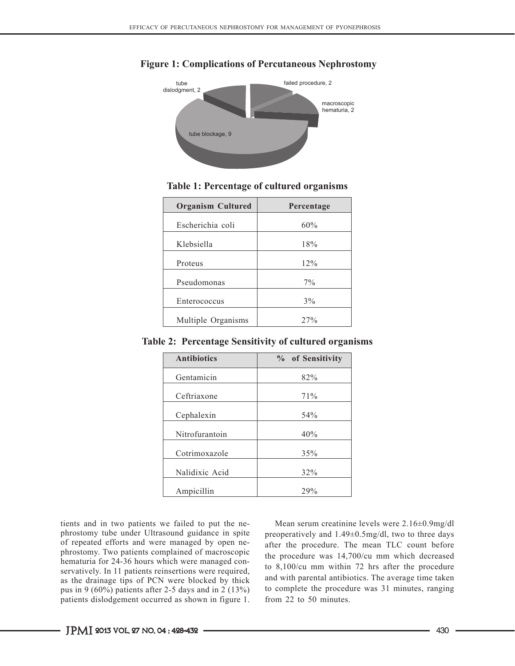

#### **Figure 1: Complications of Percutaneous Nephrostomy**

#### **Table 1: Percentage of cultured organisms**

| <b>Organism Cultured</b> | Percentage |
|--------------------------|------------|
| Escherichia coli         | 60%        |
| Klebsiella               | 18%        |
| Proteus                  | 12%        |
| Pseudomonas              | $7\%$      |
| Enterococcus             | 3%         |
| Multiple Organisms       | 27%        |

**Table 2: Percentage Sensitivity of cultured organisms**

| <b>Antibiotics</b> | % of Sensitivity |
|--------------------|------------------|
| Gentamicin         | 82%              |
| Ceftriaxone        | 71%              |
| Cephalexin         | 54%              |
| Nitrofurantoin     | 40%              |
| Cotrimoxazole      | 35%              |
| Nalidixic Acid     | 32%              |
| Ampicillin         | 29%              |

tients and in two patients we failed to put the nephrostomy tube under Ultrasound guidance in spite of repeated efforts and were managed by open nephrostomy. Two patients complained of macroscopic hematuria for 24-36 hours which were managed conservatively. In 11 patients reinsertions were required, as the drainage tips of PCN were blocked by thick pus in 9 (60%) patients after 2-5 days and in 2 (13%) patients dislodgement occurred as shown in figure 1.

Mean serum creatinine levels were 2.16±0.9mg/dl preoperatively and 1.49±0.5mg/dl, two to three days after the procedure. The mean TLC count before the procedure was 14,700/cu mm which decreased to 8,100/cu mm within 72 hrs after the procedure and with parental antibiotics. The average time taken to complete the procedure was 31 minutes, ranging from 22 to 50 minutes.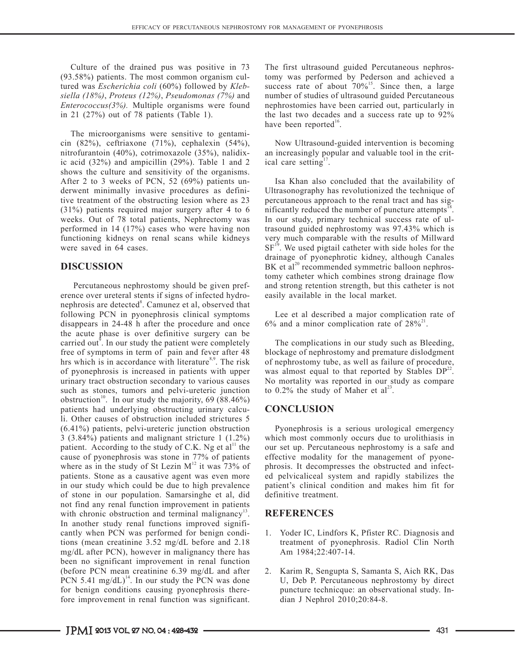Culture of the drained pus was positive in 73 (93.58%) patients. The most common organism cultured was *Escherichia coli* (60%) followed by *Klebsiella (18%)*, *Proteus (12%)*, *Pseudomonas (7%)* and *Enterococcus(3%).* Multiple organisms were found in 21 (27%) out of 78 patients (Table 1).

The microorganisms were sensitive to gentamicin (82%), ceftriaxone (71%), cephalexin (54%), nitrofurantoin (40%), cotrimoxazole (35%), nalidixic acid (32%) and ampicillin (29%). Table 1 and 2 shows the culture and sensitivity of the organisms. After 2 to 3 weeks of PCN, 52 (69%) patients underwent minimally invasive procedures as definitive treatment of the obstructing lesion where as 23 (31%) patients required major surgery after 4 to 6 weeks. Out of 78 total patients, Nephrectomy was performed in 14 (17%) cases who were having non functioning kidneys on renal scans while kidneys were saved in 64 cases.

# **DISCUSSION**

 Percutaneous nephrostomy should be given preference over ureteral stents if signs of infected hydronephrosis are detected<sup>8</sup>. Camunez et al, observed that following PCN in pyonephrosis clinical symptoms disappears in 24-48 h after the procedure and once the acute phase is over definitive surgery can be carried out<sup> $\delta$ </sup>. In our study the patient were completely free of symptoms in term of pain and fever after 48 hrs which is in accordance with literature<sup>8,9</sup>. The risk of pyonephrosis is increased in patients with upper urinary tract obstruction secondary to various causes such as stones, tumors and pelvi-ureteric junction obstruction<sup>10</sup>. In our study the majority,  $69 (88.46%)$ patients had underlying obstructing urinary calculi. Other causes of obstruction included strictures 5 (6.41%) patients, pelvi-ureteric junction obstruction 3 (3.84%) patients and malignant stricture 1 (1.2%) patient. According to the study of C.K. Ng et  $al<sup>11</sup>$  the cause of pyonephrosis was stone in 77% of patients where as in the study of St Lezin  $M<sup>12</sup>$  it was 73% of patients. Stone as a causative agent was even more in our study which could be due to high prevalence of stone in our population. Samarsinghe et al, did not find any renal function improvement in patients with chronic obstruction and terminal malignancy<sup>13</sup>. In another study renal functions improved significantly when PCN was performed for benign conditions (mean creatinine 3.52 mg/dL before and 2.18 mg/dL after PCN), however in malignancy there has been no significant improvement in renal function (before PCN mean creatinine 6.39 mg/dL and after PCN 5.41 mg/dL $)^{14}$ . In our study the PCN was done for benign conditions causing pyonephrosis therefore improvement in renal function was significant.

The first ultrasound guided Percutaneous nephrostomy was performed by Pederson and achieved a success rate of about  $70\%$ <sup>15</sup>. Since then, a large number of studies of ultrasound guided Percutaneous nephrostomies have been carried out, particularly in the last two decades and a success rate up to 92% have been reported<sup>16</sup>.

Now Ultrasound-guided intervention is becoming an increasingly popular and valuable tool in the critical care setting $\frac{1}{2}$ .

Isa Khan also concluded that the availability of Ultrasonography has revolutionized the technique of percutaneous approach to the renal tract and has significantly reduced the number of puncture attempts $18$ . In our study, primary technical success rate of ultrasound guided nephrostomy was 97.43% which is very much comparable with the results of Millward  $SF<sup>19</sup>$ . We used pigtail catheter with side holes for the drainage of pyonephrotic kidney, although Canales  $BK$  et al<sup>20</sup> recommended symmetric balloon nephrostomy catheter which combines strong drainage flow and strong retention strength, but this catheter is not easily available in the local market.

Lee et al described a major complication rate of 6% and a minor complication rate of  $28\%^{21}$ .

The complications in our study such as Bleeding, blockage of nephrostomy and premature dislodgment of nephrostomy tube, as well as failure of procedure, was almost equal to that reported by Stables  $DP^{22}$ . No mortality was reported in our study as compare to  $0.2\%$  the study of Maher et al<sup>23</sup>.

# **CONCLUSION**

Pyonephrosis is a serious urological emergency which most commonly occurs due to urolithiasis in our set up. Percutaneous nephrostomy is a safe and effective modality for the management of pyonephrosis. It decompresses the obstructed and infected pelvicaliceal system and rapidly stabilizes the patient's clinical condition and makes him fit for definitive treatment.

# **REFERENCES**

- 1. Yoder IC, Lindfors K, Pfister RC. Diagnosis and treatment of pyonephrosis. Radiol Clin North Am 1984;22:407-14.
- 2. Karim R, Sengupta S, Samanta S, Aich RK, Das U, Deb P. Percutaneous nephrostomy by direct puncture technicque: an observational study. Indian J Nephrol 2010;20:84-8.